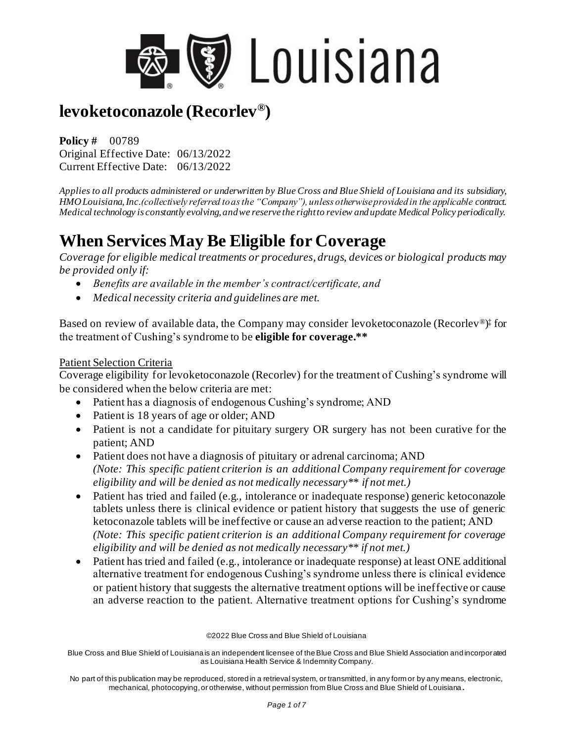

**Policy #** 00789 Original Effective Date: 06/13/2022 Current Effective Date: 06/13/2022

*Applies to all products administered or underwritten by Blue Cross and Blue Shield of Louisiana and its subsidiary, HMO Louisiana, Inc.(collectively referred to as the "Company"), unless otherwise provided in the applicable contract. Medical technology is constantly evolving, and we reserve the right to review and update Medical Policy periodically.*

# **When Services May Be Eligible for Coverage**

*Coverage for eligible medical treatments or procedures, drugs, devices or biological products may be provided only if:*

- *Benefits are available in the member's contract/certificate, and*
- *Medical necessity criteria and guidelines are met.*

Based on review of available data, the Company may consider levoketoconazole (Recorlev®) ‡ for the treatment of Cushing's syndrome to be **eligible for coverage.\*\***

#### Patient Selection Criteria

Coverage eligibility for levoketoconazole (Recorlev) for the treatment of Cushing's syndrome will be considered when the below criteria are met:

- Patient has a diagnosis of endogenous Cushing's syndrome; AND
- Patient is 18 years of age or older; AND
- Patient is not a candidate for pituitary surgery OR surgery has not been curative for the patient; AND
- Patient does not have a diagnosis of pituitary or adrenal carcinoma; AND *(Note: This specific patient criterion is an additional Company requirement for coverage eligibility and will be denied as not medically necessary\*\* if not met.)*
- Patient has tried and failed (e.g., intolerance or inadequate response) generic ketoconazole tablets unless there is clinical evidence or patient history that suggests the use of generic ketoconazole tablets will be ineffective or cause an adverse reaction to the patient; AND *(Note: This specific patient criterion is an additional Company requirement for coverage eligibility and will be denied as not medically necessary\*\* if not met.)*
- Patient has tried and failed (e.g., intolerance or inadequate response) at least ONE additional alternative treatment for endogenous Cushing's syndrome unless there is clinical evidence or patient history that suggests the alternative treatment options will be ineffective or cause an adverse reaction to the patient. Alternative treatment options for Cushing's syndrome

©2022 Blue Cross and Blue Shield of Louisiana

Blue Cross and Blue Shield of Louisiana is an independent licensee of the Blue Cross and Blue Shield Association and incorporated as Louisiana Health Service & Indemnity Company.

No part of this publication may be reproduced, stored in a retrieval system, or transmitted, in any form or by any means, electronic, mechanical, photocopying, or otherwise, without permission from Blue Cross and Blue Shield of Louisiana **.**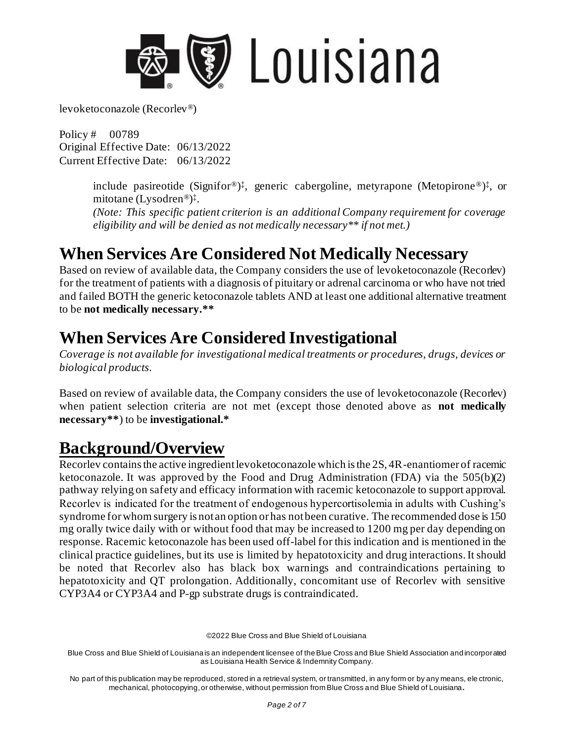

Policy # 00789 Original Effective Date: 06/13/2022 Current Effective Date: 06/13/2022

> include pasireotide (Signifor®)<sup>‡</sup>, generic cabergoline, metyrapone (Metopirone®)<sup>‡</sup>, or mitotane (Lysodren®) ‡ .

> *(Note: This specific patient criterion is an additional Company requirement for coverage eligibility and will be denied as not medically necessary\*\* if not met.)*

## **When Services Are Considered Not Medically Necessary**

Based on review of available data, the Company considers the use of levoketoconazole (Recorlev) for the treatment of patients with a diagnosis of pituitary or adrenal carcinoma or who have not tried and failed BOTH the generic ketoconazole tablets AND at least one additional alternative treatment to be **not medically necessary.\*\***

## **When Services Are Considered Investigational**

*Coverage is not available for investigational medical treatments or procedures, drugs, devices or biological products.*

Based on review of available data, the Company considers the use of levoketoconazole (Recorlev) when patient selection criteria are not met (except those denoted above as **not medically necessary\*\***) to be **investigational.\***

#### **Background/Overview**

Recorley contains the active ingredient levoketoconazole which is the 2S, 4R-enantiomer of racemic ketoconazole. It was approved by the Food and Drug Administration (FDA) via the 505(b)(2) pathway relying on safety and efficacy information with racemic ketoconazole to support approval. Recorlev is indicated for the treatment of endogenous hypercortisolemia in adults with Cushing's syndrome for whom surgery is not an option or has not been curative. The recommended dose is 150 mg orally twice daily with or without food that may be increased to 1200 mg per day depending on response. Racemic ketoconazole has been used off-label for this indication and is mentioned in the clinical practice guidelines, but its use is limited by hepatotoxicity and drug interactions. It should be noted that Recorlev also has black box warnings and contraindications pertaining to hepatotoxicity and QT prolongation. Additionally, concomitant use of Recorlev with sensitive CYP3A4 or CYP3A4 and P-gp substrate drugs is contraindicated.

©2022 Blue Cross and Blue Shield of Louisiana

Blue Cross and Blue Shield of Louisiana is an independent licensee of the Blue Cross and Blue Shield Association and incorporated as Louisiana Health Service & Indemnity Company.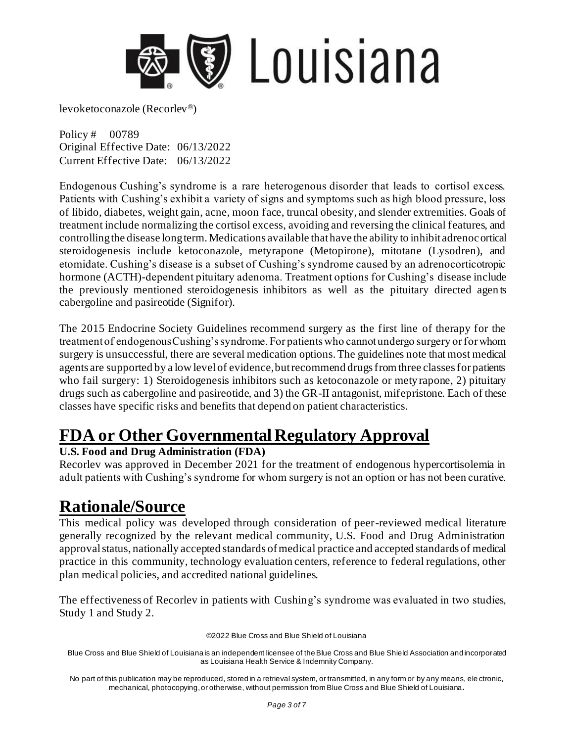

Policy # 00789 Original Effective Date: 06/13/2022 Current Effective Date: 06/13/2022

Endogenous Cushing's syndrome is a rare heterogenous disorder that leads to cortisol excess. Patients with Cushing's exhibit a variety of signs and symptoms such as high blood pressure, loss of libido, diabetes, weight gain, acne, moon face, truncal obesity, and slender extremities. Goals of treatment include normalizing the cortisol excess, avoiding and reversing the clinical features, and controlling the disease long term. Medications available that have the ability to inhibit adrenocortical steroidogenesis include ketoconazole, metyrapone (Metopirone), mitotane (Lysodren), and etomidate. Cushing's disease is a subset of Cushing's syndrome caused by an adrenocorticotropic hormone (ACTH)-dependent pituitary adenoma. Treatment options for Cushing's disease include the previously mentioned steroidogenesis inhibitors as well as the pituitary directed agen ts cabergoline and pasireotide (Signifor).

The 2015 Endocrine Society Guidelines recommend surgery as the first line of therapy for the treatment of endogenous Cushing's syndrome. For patients who cannot undergo surgery or for whom surgery is unsuccessful, there are several medication options. The guidelines note that most medical agents are supported by a low level of evidence, but recommend drugs from three classes for patients who fail surgery: 1) Steroidogenesis inhibitors such as ketoconazole or metyrapone, 2) pituitary drugs such as cabergoline and pasireotide, and 3) the GR-II antagonist, mifepristone. Each of these classes have specific risks and benefits that depend on patient characteristics.

## **FDA or Other Governmental Regulatory Approval**

#### **U.S. Food and Drug Administration (FDA)**

Recorlev was approved in December 2021 for the treatment of endogenous hypercortisolemia in adult patients with Cushing's syndrome for whom surgery is not an option or has not been curative.

#### **Rationale/Source**

This medical policy was developed through consideration of peer-reviewed medical literature generally recognized by the relevant medical community, U.S. Food and Drug Administration approval status, nationally accepted standards of medical practice and accepted standards of medical practice in this community, technology evaluation centers, reference to federal regulations, other plan medical policies, and accredited national guidelines.

The effectiveness of Recorlev in patients with Cushing's syndrome was evaluated in two studies, Study 1 and Study 2.

©2022 Blue Cross and Blue Shield of Louisiana

Blue Cross and Blue Shield of Louisiana is an independent licensee of the Blue Cross and Blue Shield Association and incorporated as Louisiana Health Service & Indemnity Company.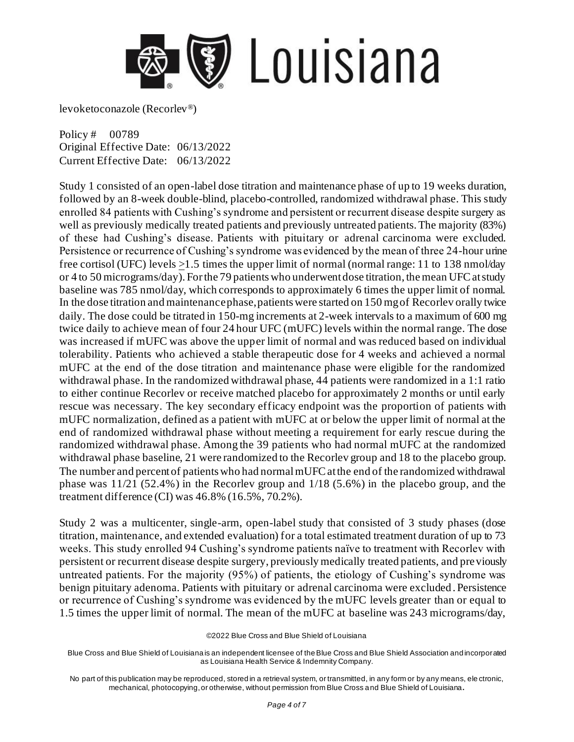

Policy # 00789 Original Effective Date: 06/13/2022 Current Effective Date: 06/13/2022

Study 1 consisted of an open-label dose titration and maintenance phase of up to 19 weeks duration, followed by an 8-week double-blind, placebo-controlled, randomized withdrawal phase. This study enrolled 84 patients with Cushing's syndrome and persistent or recurrent disease despite surgery as well as previously medically treated patients and previously untreated patients. The majority (83%) of these had Cushing's disease. Patients with pituitary or adrenal carcinoma were excluded. Persistence or recurrence of Cushing's syndrome was evidenced by the mean of three 24-hour urine free cortisol (UFC) levels >1.5 times the upper limit of normal (normal range: 11 to 138 nmol/day or 4 to 50 micrograms/day). For the 79 patients who underwent dose titration, the mean UFC at study baseline was 785 nmol/day, which corresponds to approximately 6 times the upper limit of normal. In the dose titration and maintenancephase, patients were started on 150 mg of Recorlev orally twice daily. The dose could be titrated in 150-mg increments at 2-week intervals to a maximum of 600 mg twice daily to achieve mean of four 24 hour UFC (mUFC) levels within the normal range. The dose was increased if mUFC was above the upper limit of normal and was reduced based on individual tolerability. Patients who achieved a stable therapeutic dose for 4 weeks and achieved a normal mUFC at the end of the dose titration and maintenance phase were eligible for the randomized withdrawal phase. In the randomized withdrawal phase, 44 patients were randomized in a 1:1 ratio to either continue Recorlev or receive matched placebo for approximately 2 months or until early rescue was necessary. The key secondary efficacy endpoint was the proportion of patients with mUFC normalization, defined as a patient with mUFC at or below the upper limit of normal at the end of randomized withdrawal phase without meeting a requirement for early rescue during the randomized withdrawal phase. Among the 39 patients who had normal mUFC at the randomized withdrawal phase baseline, 21 were randomized to the Recorlev group and 18 to the placebo group. The number and percent of patients who had normal mUFC at the end of the randomized withdrawal phase was 11/21 (52.4%) in the Recorlev group and 1/18 (5.6%) in the placebo group, and the treatment difference (CI) was 46.8% (16.5%, 70.2%).

Study 2 was a multicenter, single-arm, open-label study that consisted of 3 study phases (dose titration, maintenance, and extended evaluation) for a total estimated treatment duration of up to 73 weeks. This study enrolled 94 Cushing's syndrome patients naïve to treatment with Recorlev with persistent or recurrent disease despite surgery, previously medically treated patients, and previously untreated patients. For the majority (95%) of patients, the etiology of Cushing's syndrome was benign pituitary adenoma. Patients with pituitary or adrenal carcinoma were excluded. Persistence or recurrence of Cushing's syndrome was evidenced by the mUFC levels greater than or equal to 1.5 times the upper limit of normal. The mean of the mUFC at baseline was 243 micrograms/day,

<sup>©2022</sup> Blue Cross and Blue Shield of Louisiana

Blue Cross and Blue Shield of Louisiana is an independent licensee of the Blue Cross and Blue Shield Association and incorporated as Louisiana Health Service & Indemnity Company.

No part of this publication may be reproduced, stored in a retrieval system, or transmitted, in any form or by any means, ele ctronic, mechanical, photocopying, or otherwise, without permission from Blue Cross and Blue Shield of Louisiana**.**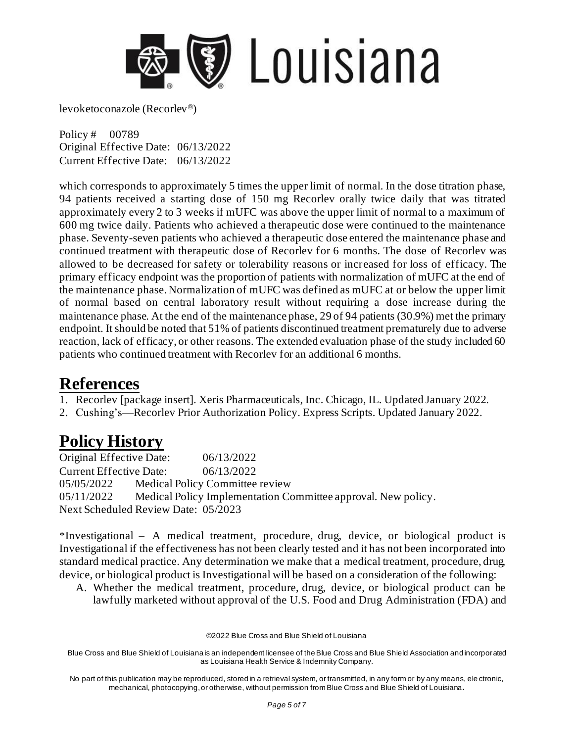

Policy # 00789 Original Effective Date: 06/13/2022 Current Effective Date: 06/13/2022

which corresponds to approximately 5 times the upper limit of normal. In the dose titration phase, 94 patients received a starting dose of 150 mg Recorlev orally twice daily that was titrated approximately every 2 to 3 weeks if mUFC was above the upper limit of normal to a maximum of 600 mg twice daily. Patients who achieved a therapeutic dose were continued to the maintenance phase. Seventy-seven patients who achieved a therapeutic dose entered the maintenance phase and continued treatment with therapeutic dose of Recorlev for 6 months. The dose of Recorlev was allowed to be decreased for safety or tolerability reasons or increased for loss of efficacy. The primary efficacy endpoint was the proportion of patients with normalization of mUFC at the end of the maintenance phase. Normalization of mUFC was defined as mUFC at or below the upper limit of normal based on central laboratory result without requiring a dose increase during the maintenance phase. At the end of the maintenance phase, 29 of 94 patients (30.9%) met the primary endpoint. It should be noted that 51% of patients discontinued treatment prematurely due to adverse reaction, lack of efficacy, or other reasons. The extended evaluation phase of the study included 60 patients who continued treatment with Recorlev for an additional 6 months.

#### **References**

1. Recorlev [package insert]. Xeris Pharmaceuticals, Inc. Chicago, IL. Updated January 2022.

2. Cushing's—Recorlev Prior Authorization Policy. Express Scripts. Updated January 2022.

# **Policy History**

Original Effective Date: 06/13/2022 Current Effective Date: 06/13/2022 05/05/2022 Medical Policy Committee review 05/11/2022 Medical Policy Implementation Committee approval. New policy. Next Scheduled Review Date: 05/2023

\*Investigational – A medical treatment, procedure, drug, device, or biological product is Investigational if the effectiveness has not been clearly tested and it has not been incorporated into standard medical practice. Any determination we make that a medical treatment, procedure, drug, device, or biological product is Investigational will be based on a consideration of the following:

A. Whether the medical treatment, procedure, drug, device, or biological product can be lawfully marketed without approval of the U.S. Food and Drug Administration (FDA) and

©2022 Blue Cross and Blue Shield of Louisiana

Blue Cross and Blue Shield of Louisiana is an independent licensee of the Blue Cross and Blue Shield Association and incorporated as Louisiana Health Service & Indemnity Company.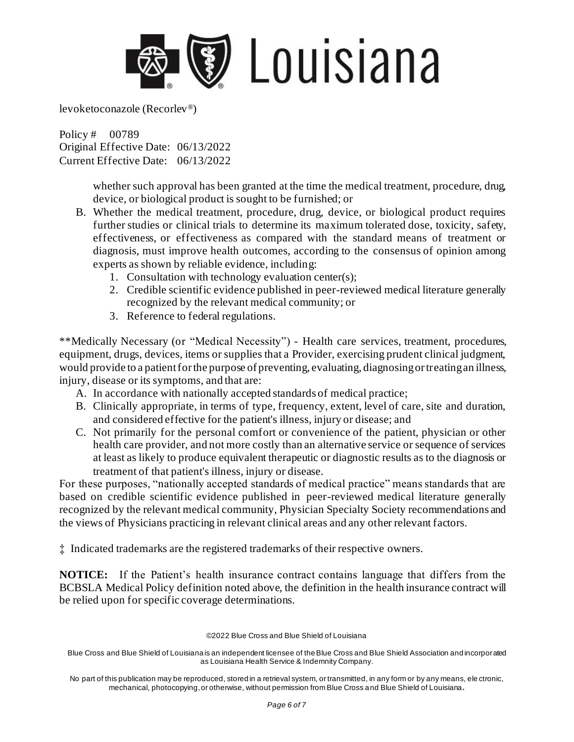

Policy # 00789 Original Effective Date: 06/13/2022 Current Effective Date: 06/13/2022

> whether such approval has been granted at the time the medical treatment, procedure, drug, device, or biological product is sought to be furnished; or

- B. Whether the medical treatment, procedure, drug, device, or biological product requires further studies or clinical trials to determine its maximum tolerated dose, toxicity, safety, effectiveness, or effectiveness as compared with the standard means of treatment or diagnosis, must improve health outcomes, according to the consensus of opinion among experts as shown by reliable evidence, including:
	- 1. Consultation with technology evaluation center(s);
	- 2. Credible scientific evidence published in peer-reviewed medical literature generally recognized by the relevant medical community; or
	- 3. Reference to federal regulations.

\*\*Medically Necessary (or "Medical Necessity") - Health care services, treatment, procedures, equipment, drugs, devices, items or supplies that a Provider, exercising prudent clinical judgment, would provide to a patient for the purpose of preventing, evaluating, diagnosing or treating an illness, injury, disease or its symptoms, and that are:

- A. In accordance with nationally accepted standards of medical practice;
- B. Clinically appropriate, in terms of type, frequency, extent, level of care, site and duration, and considered effective for the patient's illness, injury or disease; and
- C. Not primarily for the personal comfort or convenience of the patient, physician or other health care provider, and not more costly than an alternative service or sequence of services at least as likely to produce equivalent therapeutic or diagnostic results as to the diagnosis or treatment of that patient's illness, injury or disease.

For these purposes, "nationally accepted standards of medical practice" means standards that are based on credible scientific evidence published in peer-reviewed medical literature generally recognized by the relevant medical community, Physician Specialty Society recommendations and the views of Physicians practicing in relevant clinical areas and any other relevant factors.

‡ Indicated trademarks are the registered trademarks of their respective owners.

**NOTICE:** If the Patient's health insurance contract contains language that differs from the BCBSLA Medical Policy definition noted above, the definition in the health insurance contract will be relied upon for specific coverage determinations.

©2022 Blue Cross and Blue Shield of Louisiana

Blue Cross and Blue Shield of Louisiana is an independent licensee of the Blue Cross and Blue Shield Association and incorporated as Louisiana Health Service & Indemnity Company.